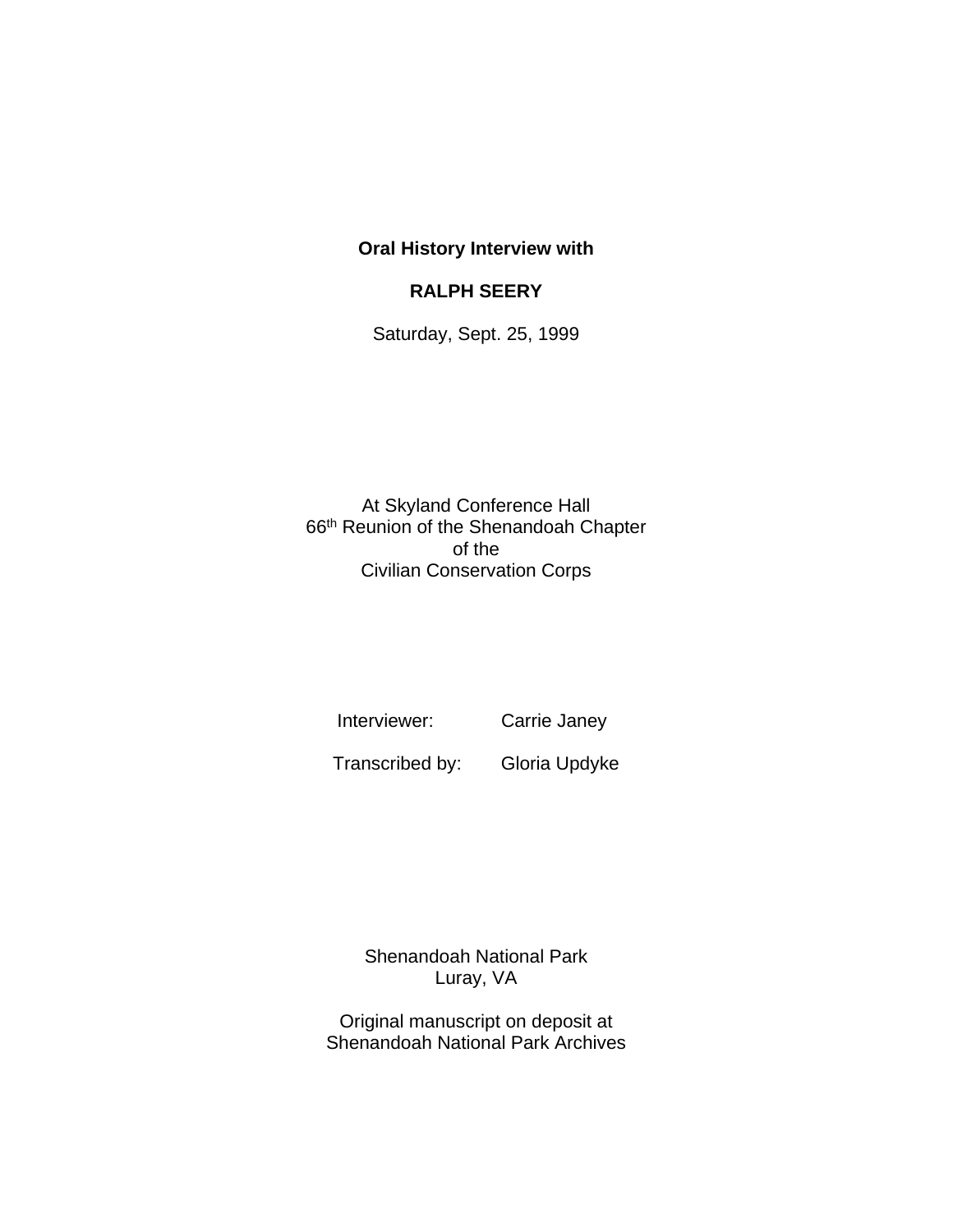## **Oral History Interview with**

## **RALPH SEERY**

Saturday, Sept. 25, 1999

At Skyland Conference Hall 66th Reunion of the Shenandoah Chapter of the Civilian Conservation Corps

Interviewer: Carrie Janey

Transcribed by: Gloria Updyke

Shenandoah National Park Luray, VA

Original manuscript on deposit at Shenandoah National Park Archives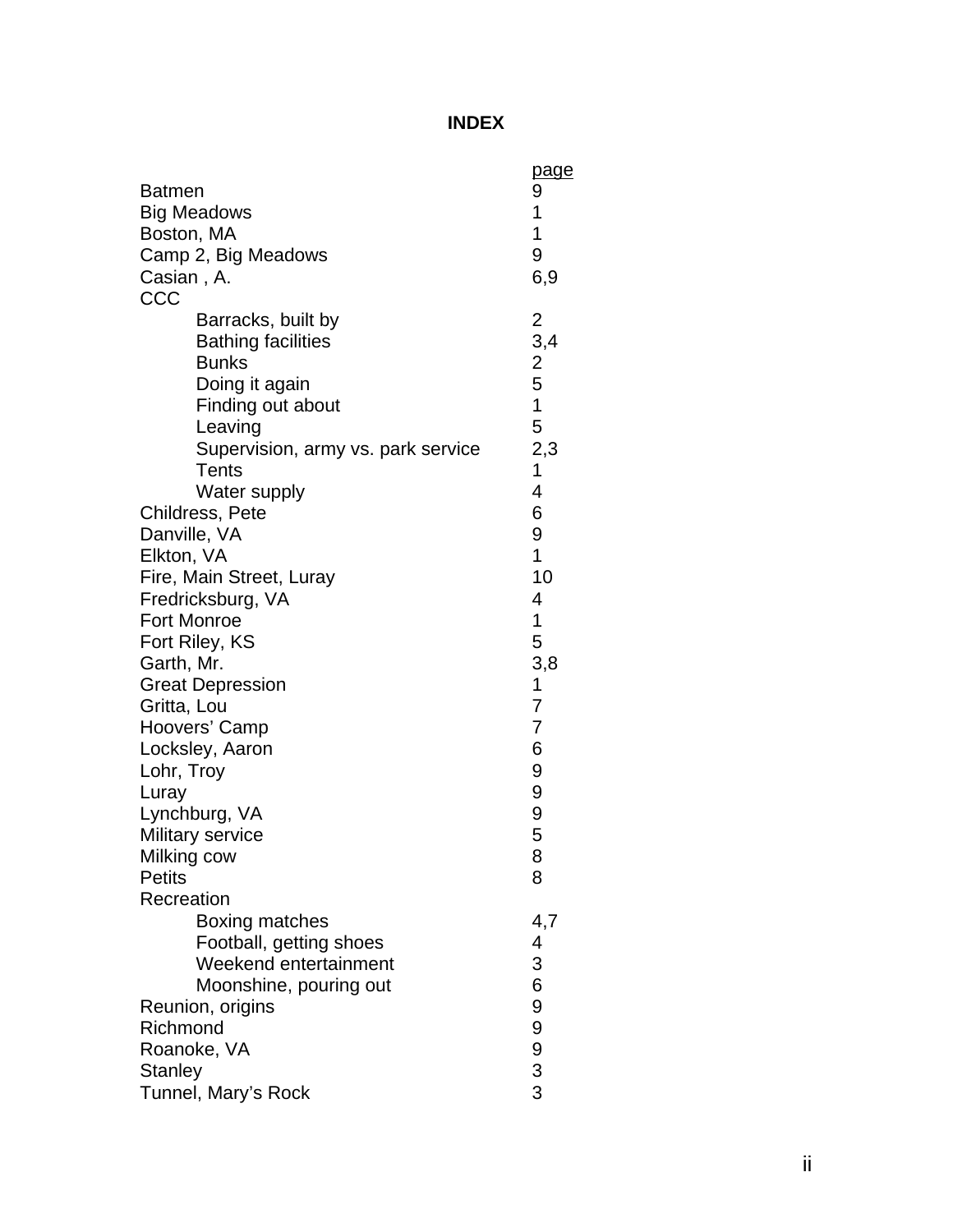## **INDEX**

| <b>Batmen</b><br><b>Big Meadows</b><br>Boston, MA<br>Camp 2, Big Meadows<br>Casian, A.<br>CCC                                                                                                                                                                                                                                                                | <u>page</u><br>9<br>1<br>1<br>9<br>6,9                                                    |
|--------------------------------------------------------------------------------------------------------------------------------------------------------------------------------------------------------------------------------------------------------------------------------------------------------------------------------------------------------------|-------------------------------------------------------------------------------------------|
| Barracks, built by<br><b>Bathing facilities</b><br><b>Bunks</b><br>Doing it again<br>Finding out about<br>Leaving<br>Supervision, army vs. park service<br><b>Tents</b>                                                                                                                                                                                      | $\overline{\mathbf{c}}$<br>$\frac{1}{2}$ , 4<br>2<br>5<br>1<br>5<br>2,3<br>1<br>4         |
| Water supply<br>Childress, Pete<br>Danville, VA<br>Elkton, VA<br>Fire, Main Street, Luray<br>Fredricksburg, VA<br><b>Fort Monroe</b><br>Fort Riley, KS<br>Garth, Mr.<br><b>Great Depression</b><br>Gritta, Lou<br>Hoovers' Camp<br>Locksley, Aaron<br>Lohr, Troy<br>Luray<br>Lynchburg, VA<br>Military service<br>Milking cow<br><b>Petits</b><br>Recreation | 6<br>9<br>1<br>10<br>4<br>1<br>5<br>3,8<br>1<br>7<br>7<br>6<br>9<br>9<br>9<br>5<br>8<br>8 |
| Boxing matches<br>Football, getting shoes<br>Weekend entertainment<br>Moonshine, pouring out<br>Reunion, origins<br>Richmond<br>Roanoke, VA<br><b>Stanley</b><br>Tunnel, Mary's Rock                                                                                                                                                                         | 4,7<br>4<br>3<br>6<br>9<br>9<br>$\begin{array}{c} 9 \\ 3 \\ 3 \end{array}$                |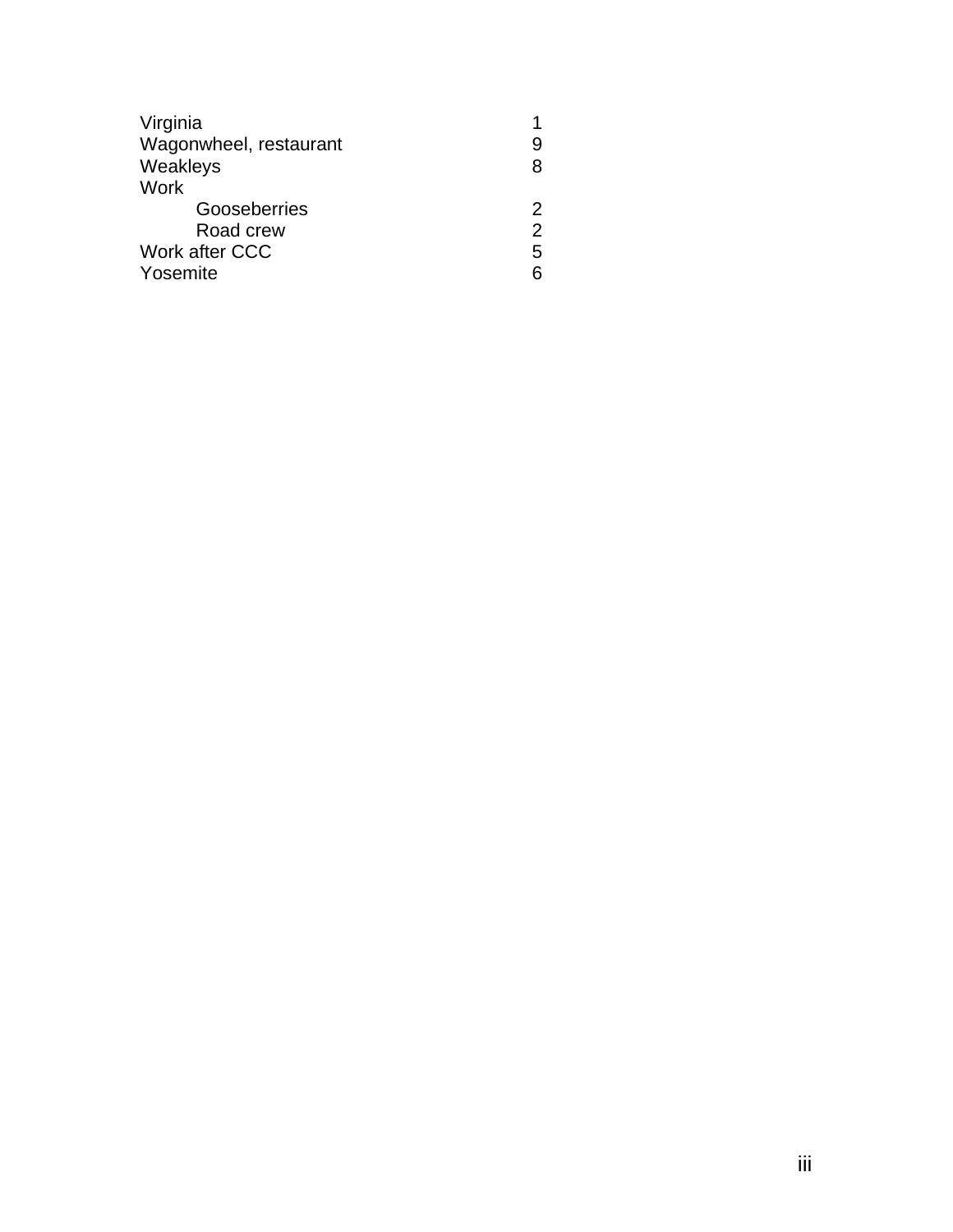| Virginia               |                |
|------------------------|----------------|
| Wagonwheel, restaurant | 9              |
| Weakleys               | 8              |
| Work                   |                |
| Gooseberries           | 2              |
| Road crew              | $\overline{2}$ |
| Work after CCC         | 5              |
| Yosemite               | ิค             |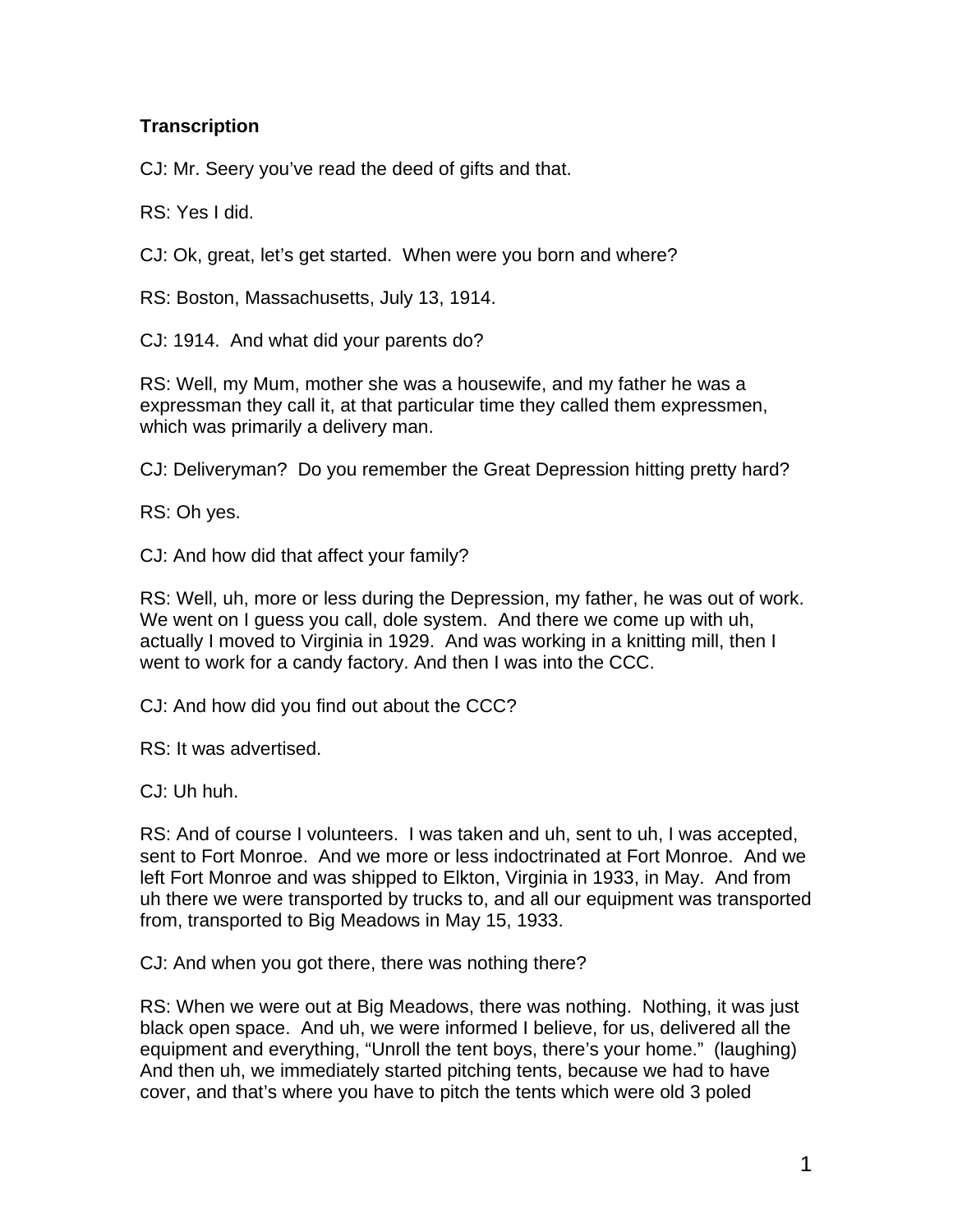## **Transcription**

CJ: Mr. Seery you've read the deed of gifts and that.

RS: Yes I did.

CJ: Ok, great, let's get started. When were you born and where?

RS: Boston, Massachusetts, July 13, 1914.

CJ: 1914. And what did your parents do?

RS: Well, my Mum, mother she was a housewife, and my father he was a expressman they call it, at that particular time they called them expressmen, which was primarily a delivery man.

CJ: Deliveryman? Do you remember the Great Depression hitting pretty hard?

RS: Oh yes.

CJ: And how did that affect your family?

RS: Well, uh, more or less during the Depression, my father, he was out of work. We went on I guess you call, dole system. And there we come up with uh, actually I moved to Virginia in 1929. And was working in a knitting mill, then I went to work for a candy factory. And then I was into the CCC.

CJ: And how did you find out about the CCC?

RS: It was advertised.

CJ: Uh huh.

RS: And of course I volunteers. I was taken and uh, sent to uh, I was accepted, sent to Fort Monroe. And we more or less indoctrinated at Fort Monroe. And we left Fort Monroe and was shipped to Elkton, Virginia in 1933, in May. And from uh there we were transported by trucks to, and all our equipment was transported from, transported to Big Meadows in May 15, 1933.

CJ: And when you got there, there was nothing there?

RS: When we were out at Big Meadows, there was nothing. Nothing, it was just black open space. And uh, we were informed I believe, for us, delivered all the equipment and everything, "Unroll the tent boys, there's your home." (laughing) And then uh, we immediately started pitching tents, because we had to have cover, and that's where you have to pitch the tents which were old 3 poled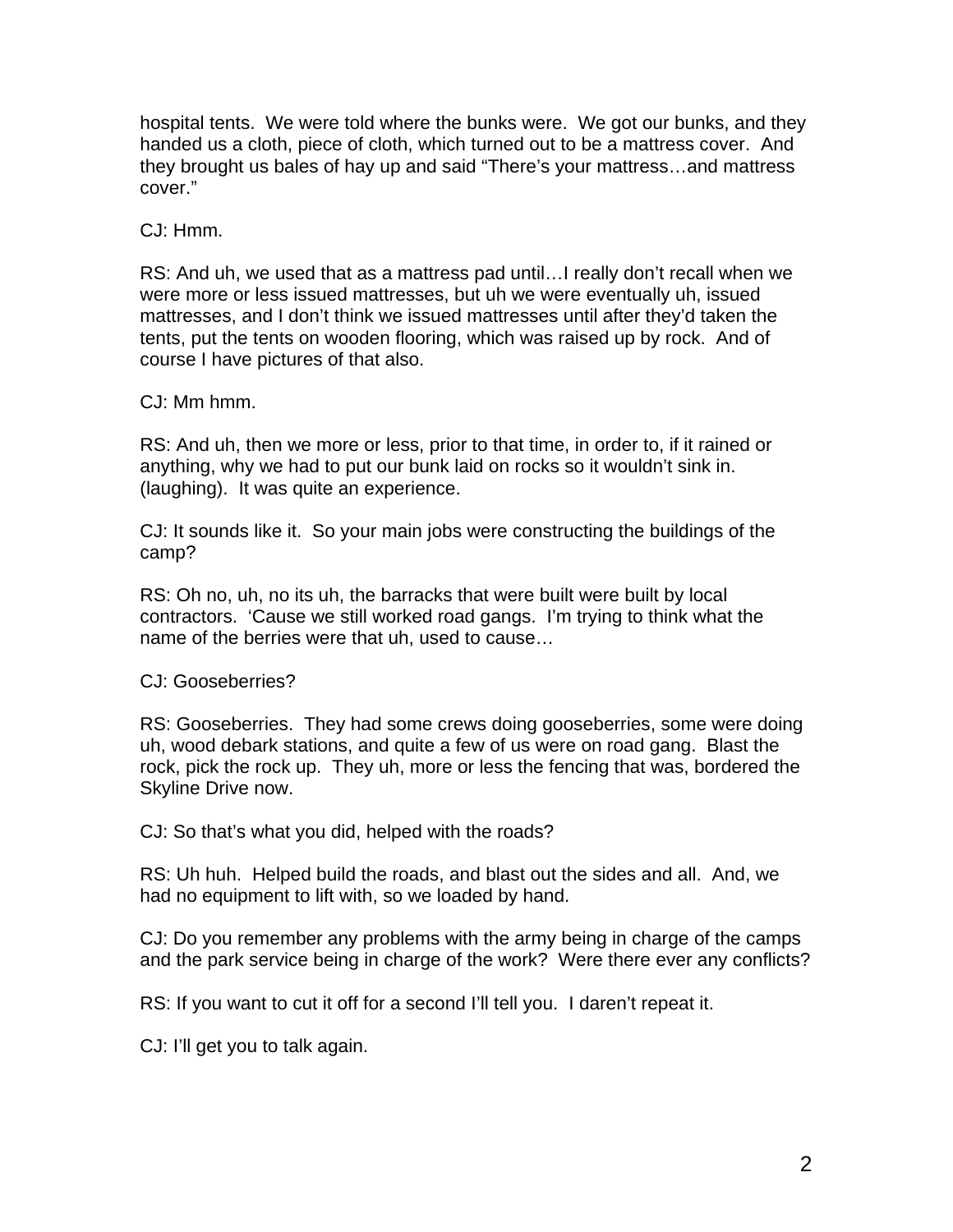hospital tents. We were told where the bunks were. We got our bunks, and they handed us a cloth, piece of cloth, which turned out to be a mattress cover. And they brought us bales of hay up and said "There's your mattress…and mattress cover."

CJ: Hmm.

RS: And uh, we used that as a mattress pad until…I really don't recall when we were more or less issued mattresses, but uh we were eventually uh, issued mattresses, and I don't think we issued mattresses until after they'd taken the tents, put the tents on wooden flooring, which was raised up by rock. And of course I have pictures of that also.

CJ: Mm hmm.

RS: And uh, then we more or less, prior to that time, in order to, if it rained or anything, why we had to put our bunk laid on rocks so it wouldn't sink in. (laughing). It was quite an experience.

CJ: It sounds like it. So your main jobs were constructing the buildings of the camp?

RS: Oh no, uh, no its uh, the barracks that were built were built by local contractors. 'Cause we still worked road gangs. I'm trying to think what the name of the berries were that uh, used to cause…

CJ: Gooseberries?

RS: Gooseberries. They had some crews doing gooseberries, some were doing uh, wood debark stations, and quite a few of us were on road gang. Blast the rock, pick the rock up. They uh, more or less the fencing that was, bordered the Skyline Drive now.

CJ: So that's what you did, helped with the roads?

RS: Uh huh. Helped build the roads, and blast out the sides and all. And, we had no equipment to lift with, so we loaded by hand.

CJ: Do you remember any problems with the army being in charge of the camps and the park service being in charge of the work? Were there ever any conflicts?

RS: If you want to cut it off for a second I'll tell you. I daren't repeat it.

CJ: I'll get you to talk again.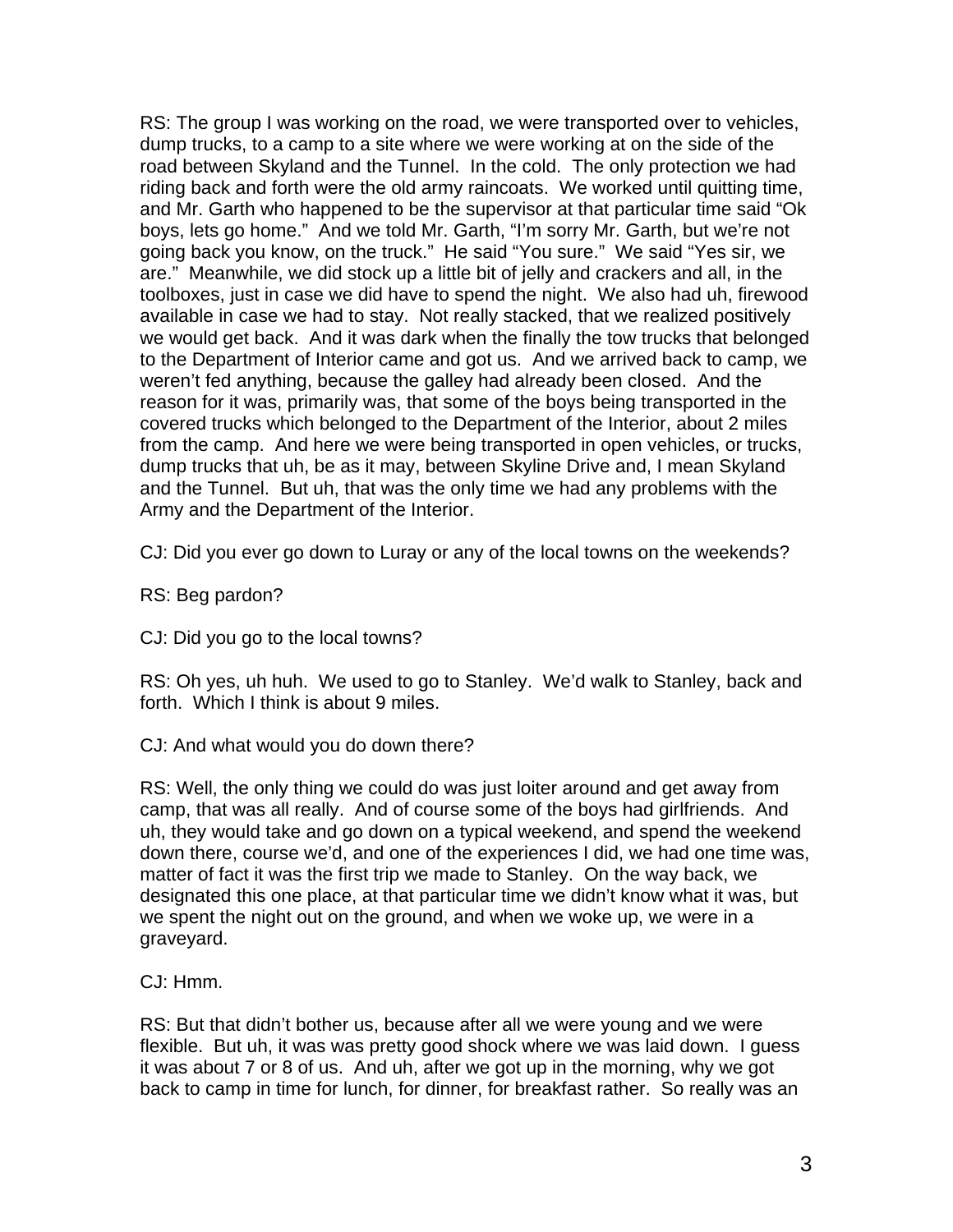RS: The group I was working on the road, we were transported over to vehicles, dump trucks, to a camp to a site where we were working at on the side of the road between Skyland and the Tunnel. In the cold. The only protection we had riding back and forth were the old army raincoats. We worked until quitting time, and Mr. Garth who happened to be the supervisor at that particular time said "Ok boys, lets go home." And we told Mr. Garth, "I'm sorry Mr. Garth, but we're not going back you know, on the truck." He said "You sure." We said "Yes sir, we are." Meanwhile, we did stock up a little bit of jelly and crackers and all, in the toolboxes, just in case we did have to spend the night. We also had uh, firewood available in case we had to stay. Not really stacked, that we realized positively we would get back. And it was dark when the finally the tow trucks that belonged to the Department of Interior came and got us. And we arrived back to camp, we weren't fed anything, because the galley had already been closed. And the reason for it was, primarily was, that some of the boys being transported in the covered trucks which belonged to the Department of the Interior, about 2 miles from the camp. And here we were being transported in open vehicles, or trucks, dump trucks that uh, be as it may, between Skyline Drive and, I mean Skyland and the Tunnel. But uh, that was the only time we had any problems with the Army and the Department of the Interior.

CJ: Did you ever go down to Luray or any of the local towns on the weekends?

RS: Beg pardon?

CJ: Did you go to the local towns?

RS: Oh yes, uh huh. We used to go to Stanley. We'd walk to Stanley, back and forth. Which I think is about 9 miles.

CJ: And what would you do down there?

RS: Well, the only thing we could do was just loiter around and get away from camp, that was all really. And of course some of the boys had girlfriends. And uh, they would take and go down on a typical weekend, and spend the weekend down there, course we'd, and one of the experiences I did, we had one time was, matter of fact it was the first trip we made to Stanley. On the way back, we designated this one place, at that particular time we didn't know what it was, but we spent the night out on the ground, and when we woke up, we were in a graveyard.

CJ: Hmm.

RS: But that didn't bother us, because after all we were young and we were flexible. But uh, it was was pretty good shock where we was laid down. I guess it was about 7 or 8 of us. And uh, after we got up in the morning, why we got back to camp in time for lunch, for dinner, for breakfast rather. So really was an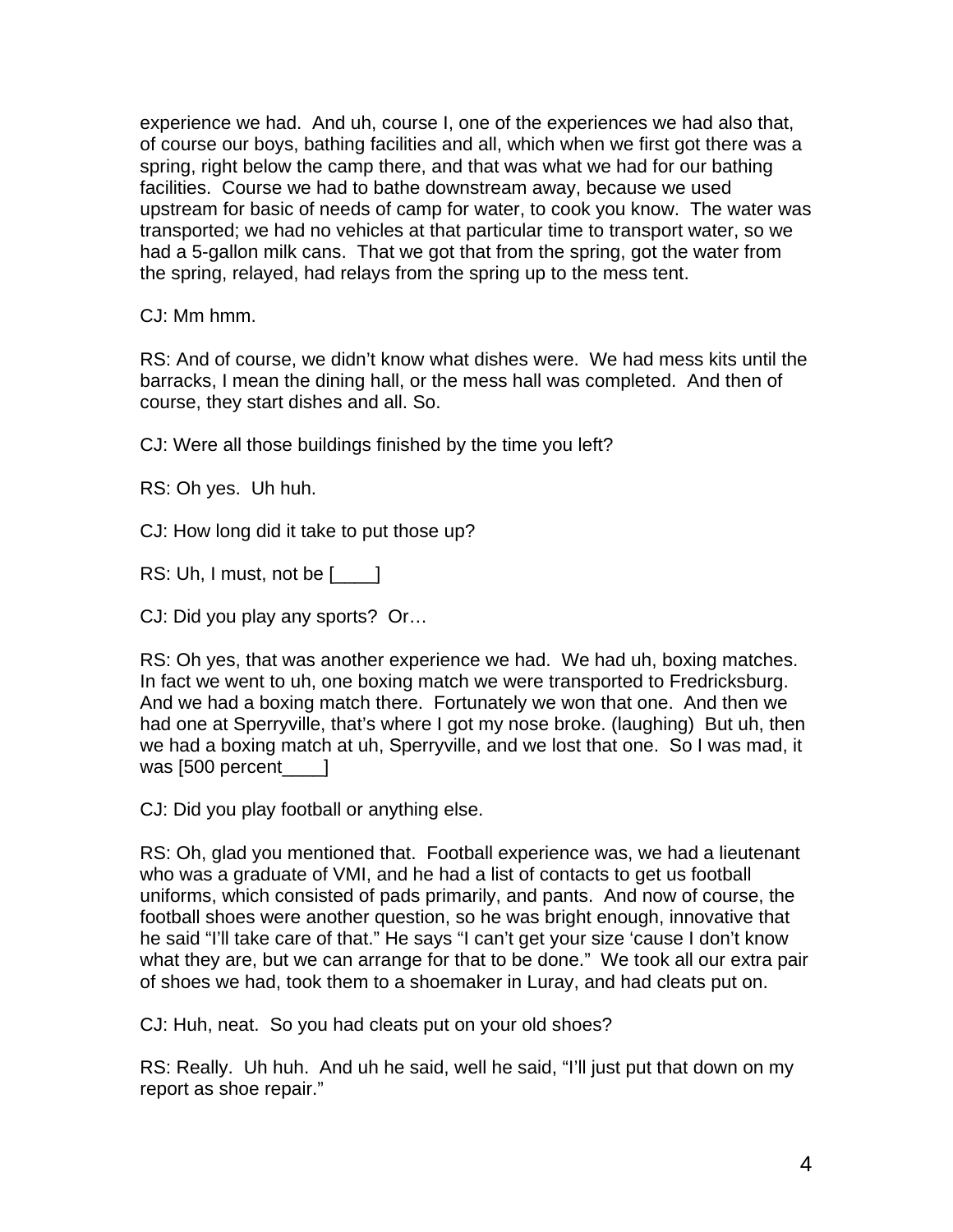experience we had. And uh, course I, one of the experiences we had also that, of course our boys, bathing facilities and all, which when we first got there was a spring, right below the camp there, and that was what we had for our bathing facilities. Course we had to bathe downstream away, because we used upstream for basic of needs of camp for water, to cook you know. The water was transported; we had no vehicles at that particular time to transport water, so we had a 5-gallon milk cans. That we got that from the spring, got the water from the spring, relayed, had relays from the spring up to the mess tent.

CJ: Mm hmm.

RS: And of course, we didn't know what dishes were. We had mess kits until the barracks, I mean the dining hall, or the mess hall was completed. And then of course, they start dishes and all. So.

CJ: Were all those buildings finished by the time you left?

RS: Oh yes. Uh huh.

CJ: How long did it take to put those up?

RS: Uh, I must, not be [  $\Box$  ]

CJ: Did you play any sports? Or…

RS: Oh yes, that was another experience we had. We had uh, boxing matches. In fact we went to uh, one boxing match we were transported to Fredricksburg. And we had a boxing match there. Fortunately we won that one. And then we had one at Sperryville, that's where I got my nose broke. (laughing) But uh, then we had a boxing match at uh, Sperryville, and we lost that one. So I was mad, it was [500 percent ]

CJ: Did you play football or anything else.

RS: Oh, glad you mentioned that. Football experience was, we had a lieutenant who was a graduate of VMI, and he had a list of contacts to get us football uniforms, which consisted of pads primarily, and pants. And now of course, the football shoes were another question, so he was bright enough, innovative that he said "I'll take care of that." He says "I can't get your size 'cause I don't know what they are, but we can arrange for that to be done." We took all our extra pair of shoes we had, took them to a shoemaker in Luray, and had cleats put on.

CJ: Huh, neat. So you had cleats put on your old shoes?

RS: Really. Uh huh. And uh he said, well he said, "I'll just put that down on my report as shoe repair."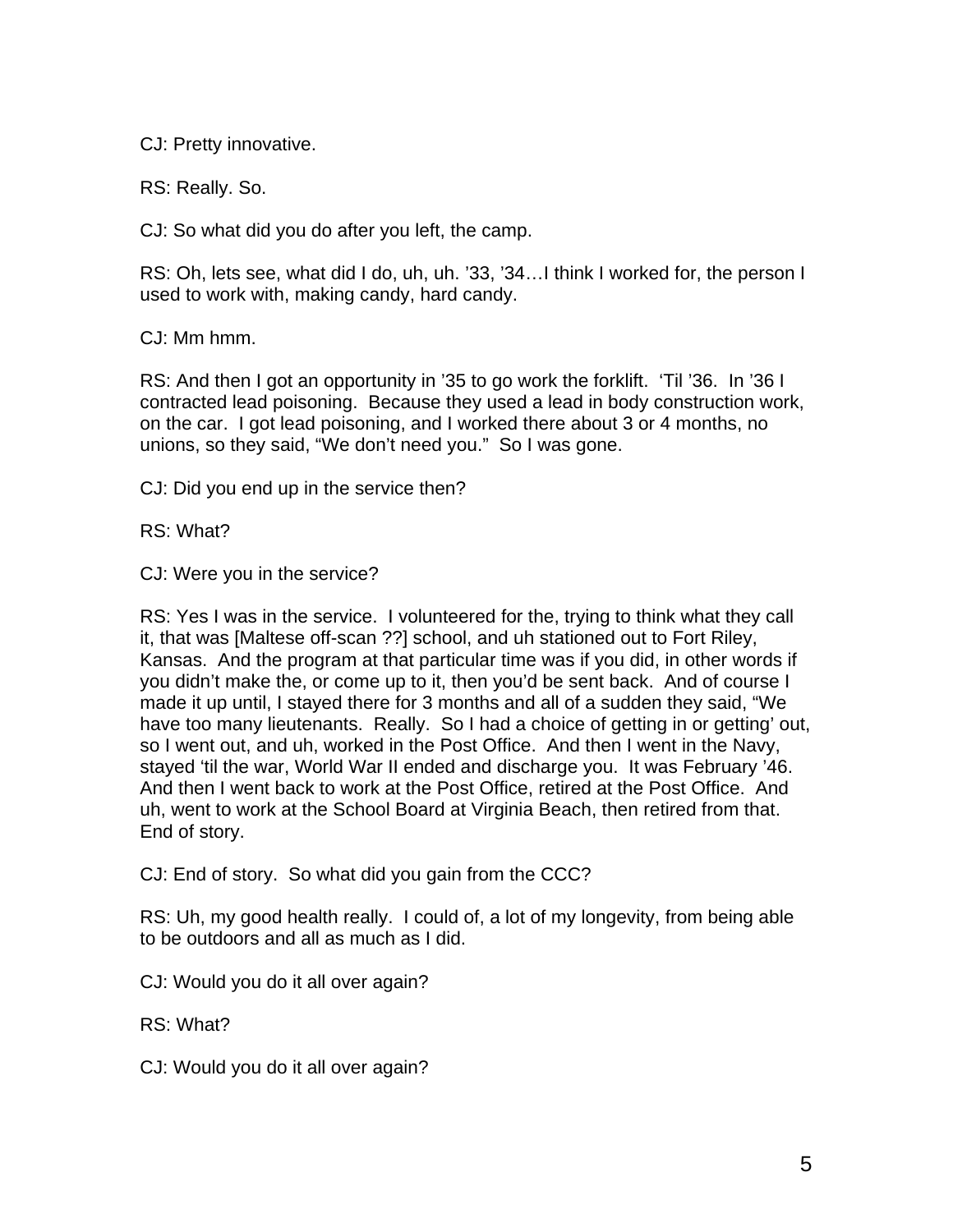CJ: Pretty innovative.

RS: Really. So.

CJ: So what did you do after you left, the camp.

RS: Oh, lets see, what did I do, uh, uh. '33, '34…I think I worked for, the person I used to work with, making candy, hard candy.

CJ: Mm hmm.

RS: And then I got an opportunity in '35 to go work the forklift. 'Til '36. In '36 I contracted lead poisoning. Because they used a lead in body construction work, on the car. I got lead poisoning, and I worked there about 3 or 4 months, no unions, so they said, "We don't need you." So I was gone.

CJ: Did you end up in the service then?

RS: What?

CJ: Were you in the service?

RS: Yes I was in the service. I volunteered for the, trying to think what they call it, that was [Maltese off-scan ??] school, and uh stationed out to Fort Riley, Kansas. And the program at that particular time was if you did, in other words if you didn't make the, or come up to it, then you'd be sent back. And of course I made it up until, I stayed there for 3 months and all of a sudden they said, "We have too many lieutenants. Really. So I had a choice of getting in or getting' out, so I went out, and uh, worked in the Post Office. And then I went in the Navy, stayed 'til the war, World War II ended and discharge you. It was February '46. And then I went back to work at the Post Office, retired at the Post Office. And uh, went to work at the School Board at Virginia Beach, then retired from that. End of story.

CJ: End of story. So what did you gain from the CCC?

RS: Uh, my good health really. I could of, a lot of my longevity, from being able to be outdoors and all as much as I did.

CJ: Would you do it all over again?

RS: What?

CJ: Would you do it all over again?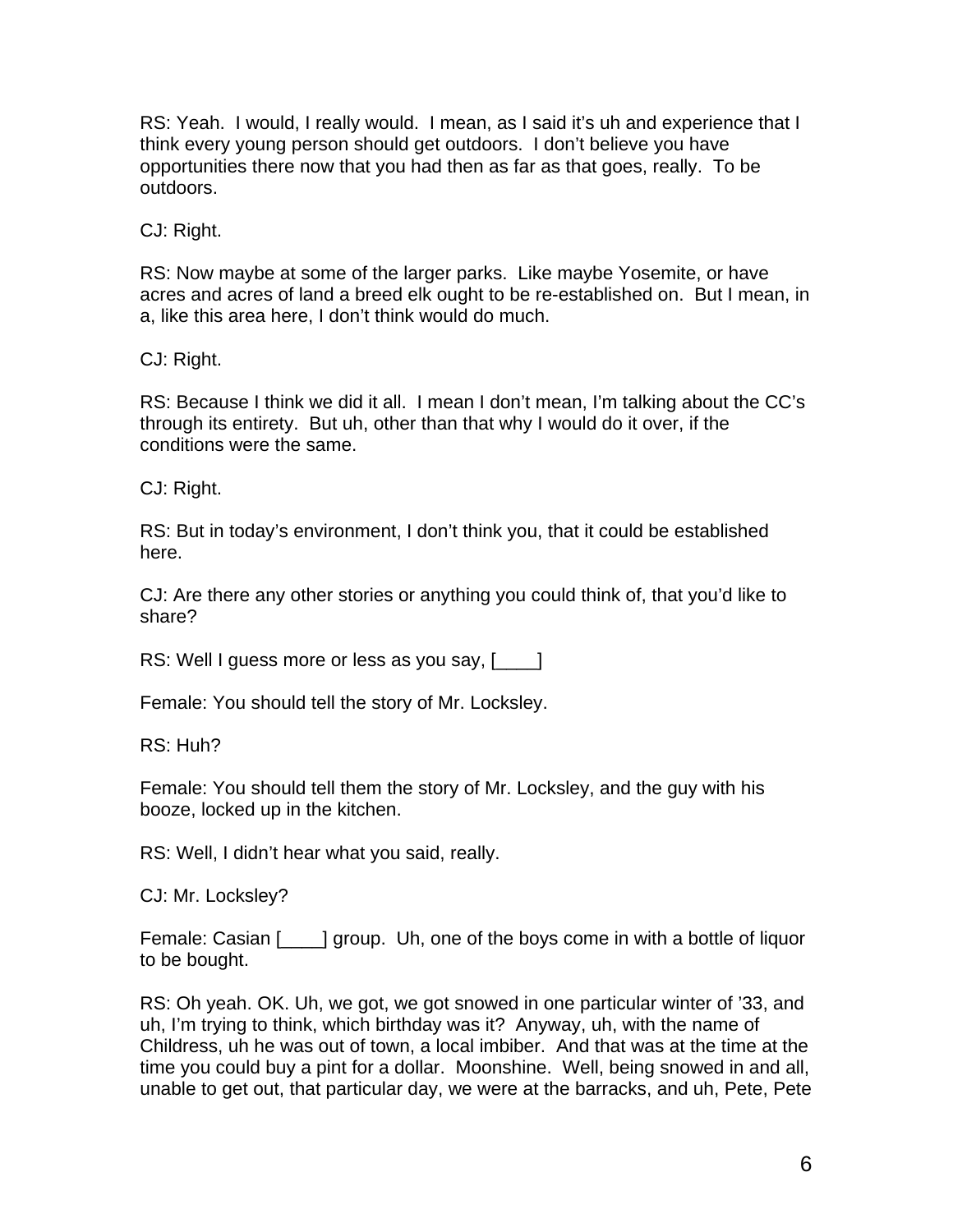RS: Yeah. I would, I really would. I mean, as I said it's uh and experience that I think every young person should get outdoors. I don't believe you have opportunities there now that you had then as far as that goes, really. To be outdoors.

CJ: Right.

RS: Now maybe at some of the larger parks. Like maybe Yosemite, or have acres and acres of land a breed elk ought to be re-established on. But I mean, in a, like this area here, I don't think would do much.

CJ: Right.

RS: Because I think we did it all. I mean I don't mean, I'm talking about the CC's through its entirety. But uh, other than that why I would do it over, if the conditions were the same.

CJ: Right.

RS: But in today's environment, I don't think you, that it could be established here.

CJ: Are there any other stories or anything you could think of, that you'd like to share?

RS: Well I guess more or less as you say, [2001]

Female: You should tell the story of Mr. Locksley.

RS: Huh?

Female: You should tell them the story of Mr. Locksley, and the guy with his booze, locked up in the kitchen.

RS: Well, I didn't hear what you said, really.

CJ: Mr. Locksley?

Female: Casian [\_\_\_\_] group. Uh, one of the boys come in with a bottle of liquor to be bought.

RS: Oh yeah. OK. Uh, we got, we got snowed in one particular winter of '33, and uh, I'm trying to think, which birthday was it? Anyway, uh, with the name of Childress, uh he was out of town, a local imbiber. And that was at the time at the time you could buy a pint for a dollar. Moonshine. Well, being snowed in and all, unable to get out, that particular day, we were at the barracks, and uh, Pete, Pete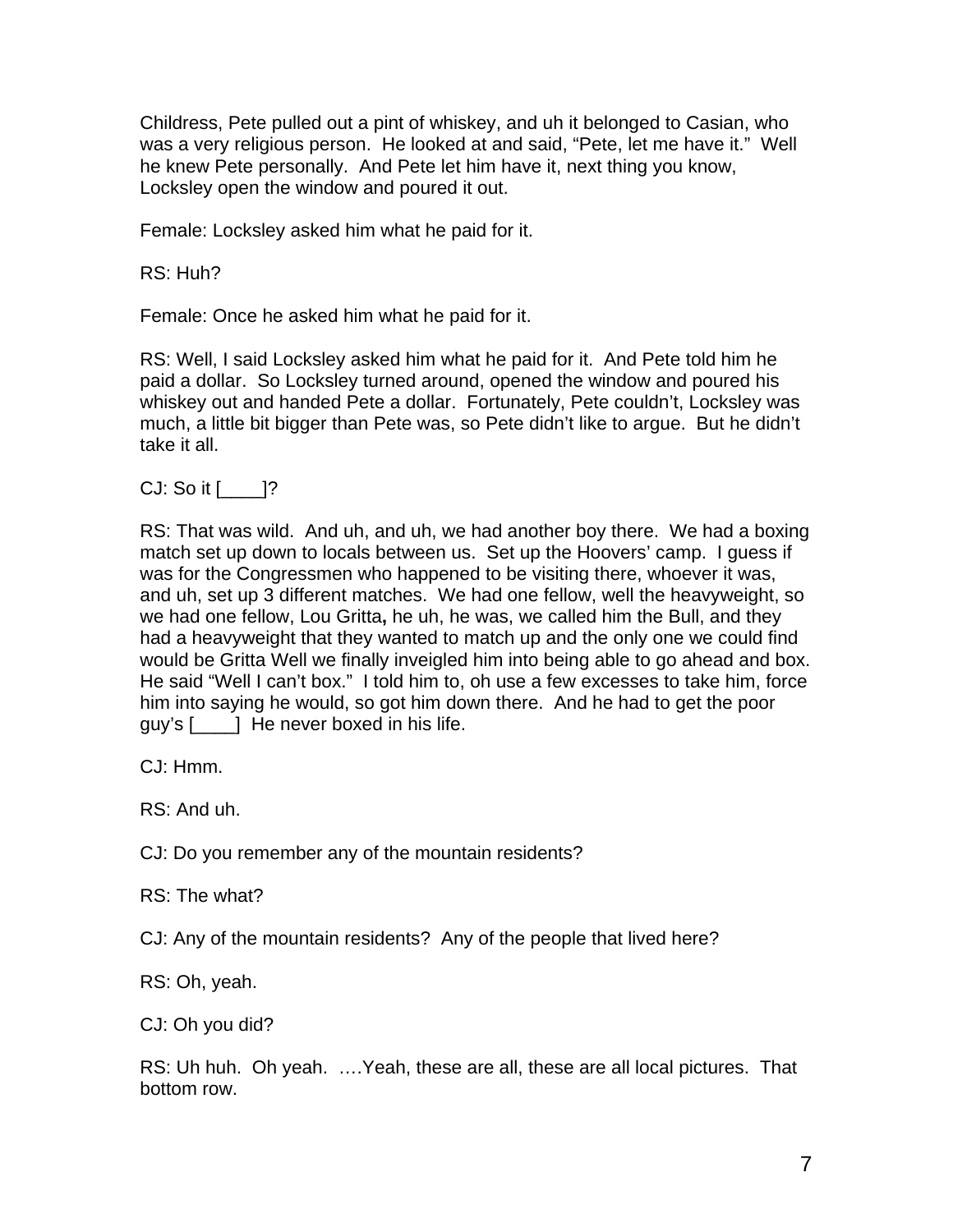Childress, Pete pulled out a pint of whiskey, and uh it belonged to Casian, who was a very religious person. He looked at and said, "Pete, let me have it." Well he knew Pete personally. And Pete let him have it, next thing you know, Locksley open the window and poured it out.

Female: Locksley asked him what he paid for it.

RS: Huh?

Female: Once he asked him what he paid for it.

RS: Well, I said Locksley asked him what he paid for it. And Pete told him he paid a dollar. So Locksley turned around, opened the window and poured his whiskey out and handed Pete a dollar. Fortunately, Pete couldn't, Locksley was much, a little bit bigger than Pete was, so Pete didn't like to argue. But he didn't take it all.

 $CJ:$  So it  $[$   $]$ ?

RS: That was wild. And uh, and uh, we had another boy there. We had a boxing match set up down to locals between us. Set up the Hoovers' camp. I guess if was for the Congressmen who happened to be visiting there, whoever it was, and uh, set up 3 different matches. We had one fellow, well the heavyweight, so we had one fellow, Lou Gritta**,** he uh, he was, we called him the Bull, and they had a heavyweight that they wanted to match up and the only one we could find would be Gritta Well we finally inveigled him into being able to go ahead and box. He said "Well I can't box." I told him to, oh use a few excesses to take him, force him into saying he would, so got him down there. And he had to get the poor guy's [\_\_\_\_] He never boxed in his life.

CJ: Hmm.

RS: And uh.

CJ: Do you remember any of the mountain residents?

RS: The what?

CJ: Any of the mountain residents? Any of the people that lived here?

RS: Oh, yeah.

CJ: Oh you did?

RS: Uh huh. Oh yeah. ….Yeah, these are all, these are all local pictures. That bottom row.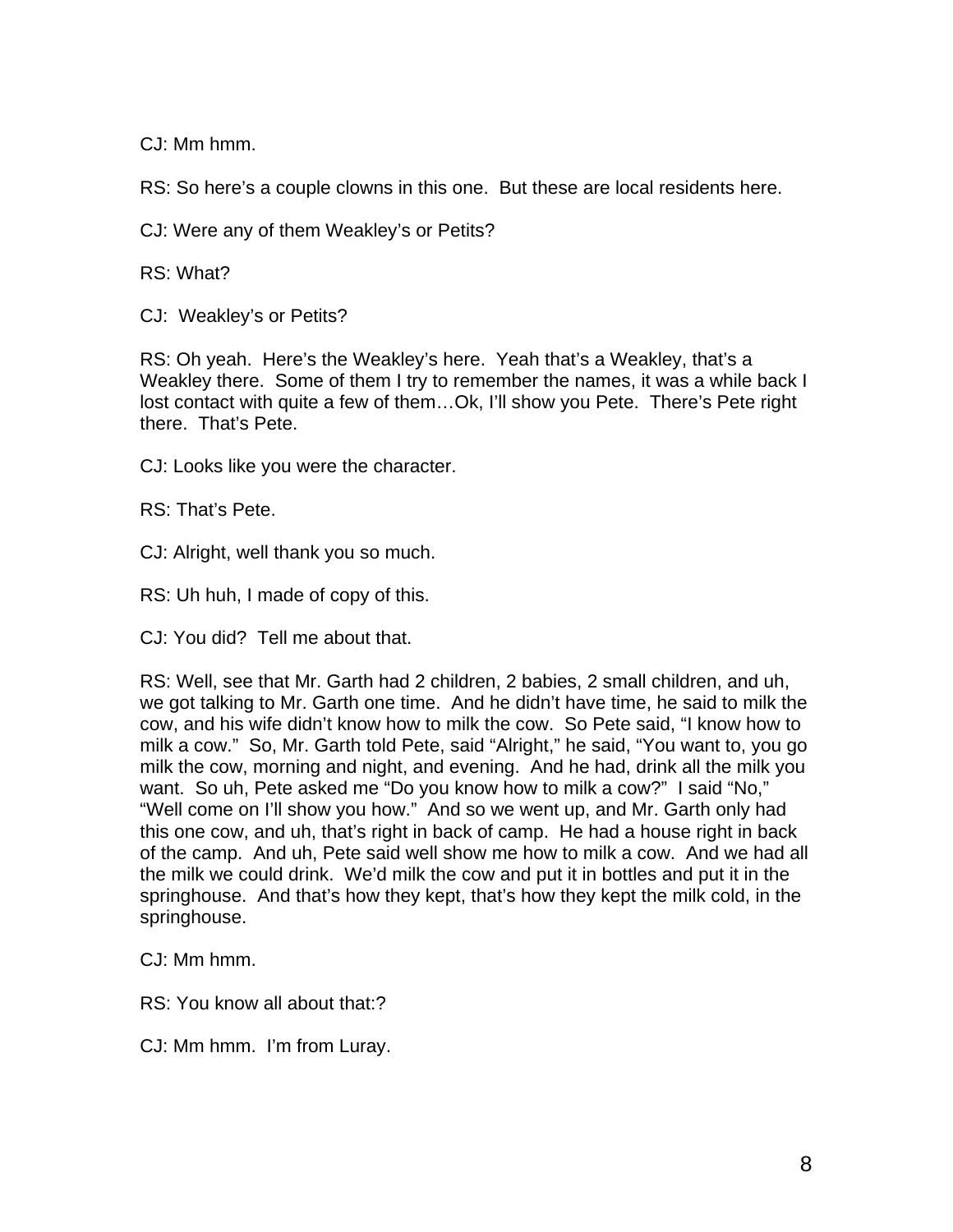CJ: Mm hmm.

RS: So here's a couple clowns in this one. But these are local residents here.

CJ: Were any of them Weakley's or Petits?

RS: What?

CJ: Weakley's or Petits?

RS: Oh yeah. Here's the Weakley's here. Yeah that's a Weakley, that's a Weakley there. Some of them I try to remember the names, it was a while back I lost contact with quite a few of them…Ok, I'll show you Pete. There's Pete right there. That's Pete.

CJ: Looks like you were the character.

RS: That's Pete.

CJ: Alright, well thank you so much.

RS: Uh huh, I made of copy of this.

CJ: You did? Tell me about that.

RS: Well, see that Mr. Garth had 2 children, 2 babies, 2 small children, and uh, we got talking to Mr. Garth one time. And he didn't have time, he said to milk the cow, and his wife didn't know how to milk the cow. So Pete said, "I know how to milk a cow." So, Mr. Garth told Pete, said "Alright," he said, "You want to, you go milk the cow, morning and night, and evening. And he had, drink all the milk you want. So uh, Pete asked me "Do you know how to milk a cow?" I said "No," "Well come on I'll show you how." And so we went up, and Mr. Garth only had this one cow, and uh, that's right in back of camp. He had a house right in back of the camp. And uh, Pete said well show me how to milk a cow. And we had all the milk we could drink. We'd milk the cow and put it in bottles and put it in the springhouse. And that's how they kept, that's how they kept the milk cold, in the springhouse.

CJ: Mm hmm.

RS: You know all about that:?

CJ: Mm hmm. I'm from Luray.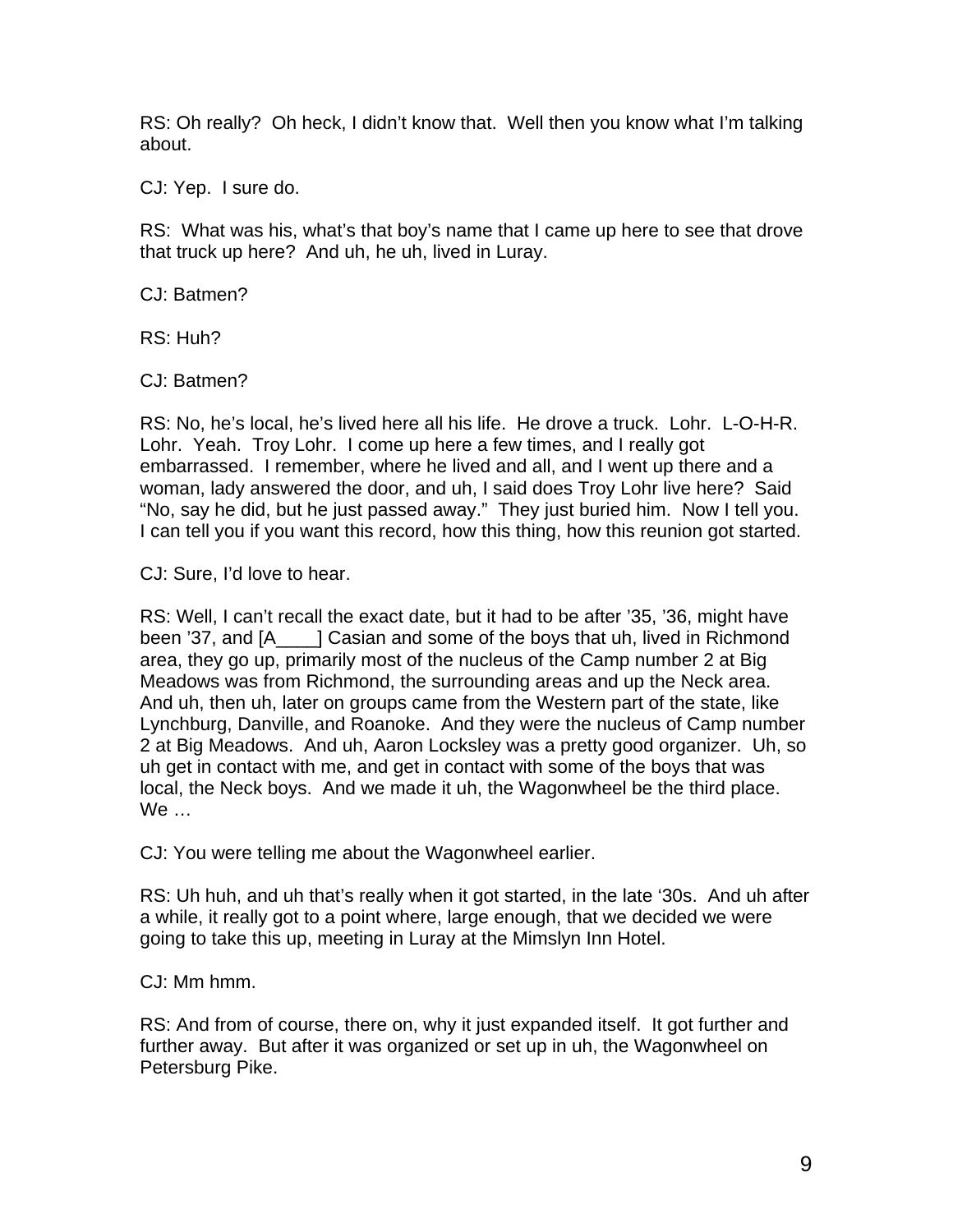RS: Oh really? Oh heck, I didn't know that. Well then you know what I'm talking about.

CJ: Yep. I sure do.

RS: What was his, what's that boy's name that I came up here to see that drove that truck up here? And uh, he uh, lived in Luray.

CJ: Batmen?

RS: Huh?

CJ: Batmen?

RS: No, he's local, he's lived here all his life. He drove a truck. Lohr. L-O-H-R. Lohr. Yeah. Troy Lohr. I come up here a few times, and I really got embarrassed. I remember, where he lived and all, and I went up there and a woman, lady answered the door, and uh, I said does Troy Lohr live here? Said "No, say he did, but he just passed away." They just buried him. Now I tell you. I can tell you if you want this record, how this thing, how this reunion got started.

CJ: Sure, I'd love to hear.

RS: Well, I can't recall the exact date, but it had to be after '35, '36, might have been '37, and [A\_\_\_\_] Casian and some of the boys that uh, lived in Richmond area, they go up, primarily most of the nucleus of the Camp number 2 at Big Meadows was from Richmond, the surrounding areas and up the Neck area. And uh, then uh, later on groups came from the Western part of the state, like Lynchburg, Danville, and Roanoke. And they were the nucleus of Camp number 2 at Big Meadows. And uh, Aaron Locksley was a pretty good organizer. Uh, so uh get in contact with me, and get in contact with some of the boys that was local, the Neck boys. And we made it uh, the Wagonwheel be the third place. We …

CJ: You were telling me about the Wagonwheel earlier.

RS: Uh huh, and uh that's really when it got started, in the late '30s. And uh after a while, it really got to a point where, large enough, that we decided we were going to take this up, meeting in Luray at the Mimslyn Inn Hotel.

CJ: Mm hmm.

RS: And from of course, there on, why it just expanded itself. It got further and further away. But after it was organized or set up in uh, the Wagonwheel on Petersburg Pike.